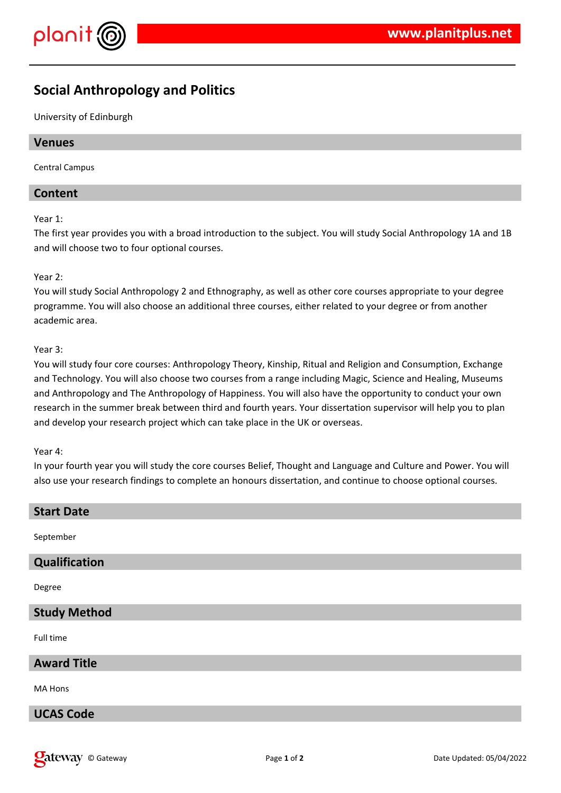

## **Social Anthropology and Politics**

University of Edinburgh

#### **Venues**

Central Campus

#### **Content**

Year 1:

The first year provides you with a broad introduction to the subject. You will study Social Anthropology 1A and 1B and will choose two to four optional courses.

#### Year 2:

You will study Social Anthropology 2 and Ethnography, as well as other core courses appropriate to your degree programme. You will also choose an additional three courses, either related to your degree or from another academic area.

#### Year 3:

You will study four core courses: Anthropology Theory, Kinship, Ritual and Religion and Consumption, Exchange and Technology. You will also choose two courses from a range including Magic, Science and Healing, Museums and Anthropology and The Anthropology of Happiness. You will also have the opportunity to conduct your own research in the summer break between third and fourth years. Your dissertation supervisor will help you to plan and develop your research project which can take place in the UK or overseas.

Year 4:

In your fourth year you will study the core courses Belief, Thought and Language and Culture and Power. You will also use your research findings to complete an honours dissertation, and continue to choose optional courses.

# **Start Date** September **Qualification** Degree **Study Method** Full time **Award Title** MA Hons **UCAS Code**